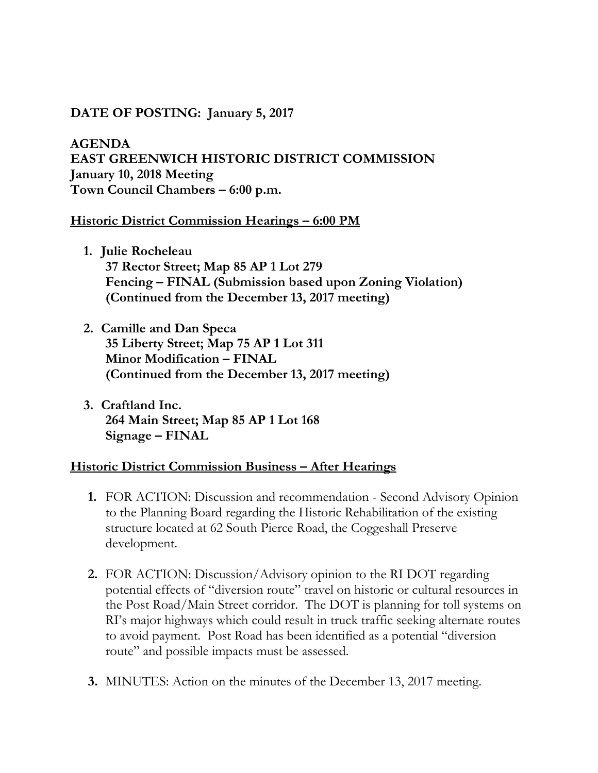## **DATE OF POSTING: January 5, 2017**

**AGENDA EAST GREENWICH HISTORIC DISTRICT COMMISSION January 10, 2018 Meeting Town Council Chambers – 6:00 p.m.**

## **Historic District Commission Hearings – 6:00 PM**

- **1. Julie Rocheleau 37 Rector Street; Map 85 AP 1 Lot 279 Fencing – FINAL (Submission based upon Zoning Violation) (Continued from the December 13, 2017 meeting)**
- **2. Camille and Dan Speca 35 Liberty Street; Map 75 AP 1 Lot 311 Minor Modification – FINAL (Continued from the December 13, 2017 meeting)**
- **3. Craftland Inc. 264 Main Street; Map 85 AP 1 Lot 168 Signage – FINAL**

## **Historic District Commission Business – After Hearings**

- **1.** FOR ACTION: Discussion and recommendation Second Advisory Opinion to the Planning Board regarding the Historic Rehabilitation of the existing structure located at 62 South Pierce Road, the Coggeshall Preserve development.
- **2.** FOR ACTION: Discussion/Advisory opinion to the RI DOT regarding potential effects of "diversion route" travel on historic or cultural resources in the Post Road/Main Street corridor. The DOT is planning for toll systems on RI's major highways which could result in truck traffic seeking alternate routes to avoid payment. Post Road has been identified as a potential "diversion route" and possible impacts must be assessed.
- **3.** MINUTES: Action on the minutes of the December 13, 2017 meeting.